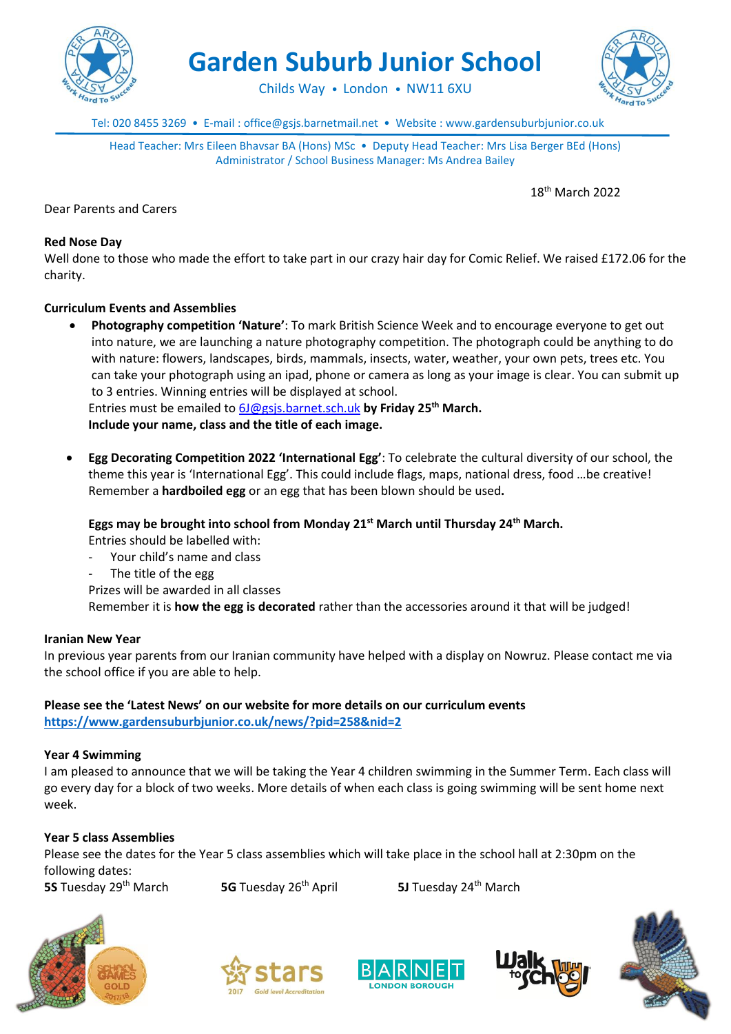

**Garden Suburb Junior School**

Childs Way • London • NW11 6XU



Tel: 020 8455 3269 • E-mail : office@gsjs.barnetmail.net • Website : www.gardensuburbjunior.co.uk

Head Teacher: Mrs Eileen Bhavsar BA (Hons) MSc • Deputy Head Teacher: Mrs Lisa Berger BEd (Hons) Administrator / School Business Manager: Ms Andrea Bailey

18 th March 2022

Dear Parents and Carers

#### **Red Nose Day**

Well done to those who made the effort to take part in our crazy hair day for Comic Relief. We raised £172.06 for the charity.

### **Curriculum Events and Assemblies**

 **Photography competition 'Nature'**: To mark British Science Week and to encourage everyone to get out into nature, we are launching a nature photography competition. The photograph could be anything to do with nature: flowers, landscapes, birds, mammals, insects, water, weather, your own pets, trees etc. You can take your photograph using an ipad, phone or camera as long as your image is clear. You can submit up to 3 entries. Winning entries will be displayed at school.

Entries must be emailed to [6J@gsjs.barnet.sch.uk](mailto:6J@gsjs.barnet.sch.uk) **by Friday 25th March.**

**Include your name, class and the title of each image.**

 **Egg Decorating Competition 2022 'International Egg'**: To celebrate the cultural diversity of our school, the theme this year is 'International Egg'. This could include flags, maps, national dress, food …be creative! Remember a **hardboiled egg** or an egg that has been blown should be used**.** 

**Eggs may be brought into school from Monday 21st March until Thursday 24th March.**

Entries should be labelled with:

- Your child's name and class
- The title of the egg

Prizes will be awarded in all classes

Remember it is **how the egg is decorated** rather than the accessories around it that will be judged!

#### **Iranian New Year**

In previous year parents from our Iranian community have helped with a display on Nowruz. Please contact me via the school office if you are able to help.

# **Please see the 'Latest News' on our website for more details on our curriculum events**

**<https://www.gardensuburbjunior.co.uk/news/?pid=258&nid=2>**

#### **Year 4 Swimming**

I am pleased to announce that we will be taking the Year 4 children swimming in the Summer Term. Each class will go every day for a block of two weeks. More details of when each class is going swimming will be sent home next week.

#### **Year 5 class Assemblies**

Please see the dates for the Year 5 class assemblies which will take place in the school hall at 2:30pm on the following dates:

**5S** Tuesday 29th March **5G** Tuesday 26th April **5J** Tuesday 24th March